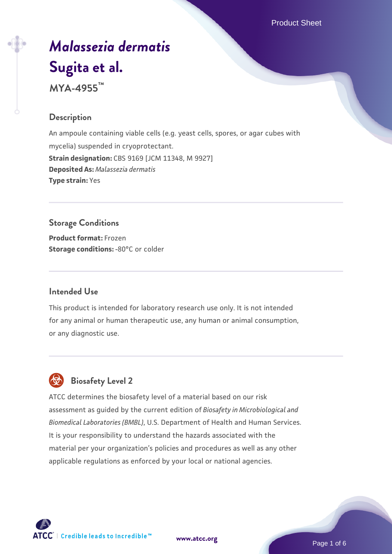Product Sheet

# *[Malassezia dermatis](https://www.atcc.org/products/mya-4955)* **[Sugita et al.](https://www.atcc.org/products/mya-4955)**

**MYA-4955™**

# **Description**

An ampoule containing viable cells (e.g. yeast cells, spores, or agar cubes with mycelia) suspended in cryoprotectant. **Strain designation:** CBS 9169 [JCM 11348, M 9927] **Deposited As:** *Malassezia dermatis* **Type strain:** Yes

# **Storage Conditions**

**Product format:** Frozen **Storage conditions: -80°C or colder** 

#### **Intended Use**

This product is intended for laboratory research use only. It is not intended for any animal or human therapeutic use, any human or animal consumption, or any diagnostic use.

# **Biosafety Level 2**

ATCC determines the biosafety level of a material based on our risk assessment as guided by the current edition of *Biosafety in Microbiological and Biomedical Laboratories (BMBL)*, U.S. Department of Health and Human Services. It is your responsibility to understand the hazards associated with the material per your organization's policies and procedures as well as any other applicable regulations as enforced by your local or national agencies.



**[www.atcc.org](http://www.atcc.org)**

Page 1 of 6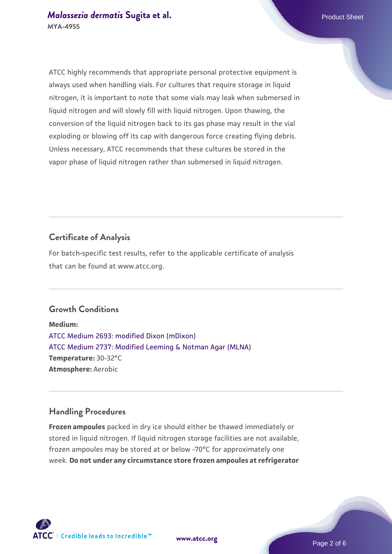ATCC highly recommends that appropriate personal protective equipment is always used when handling vials. For cultures that require storage in liquid nitrogen, it is important to note that some vials may leak when submersed in liquid nitrogen and will slowly fill with liquid nitrogen. Upon thawing, the conversion of the liquid nitrogen back to its gas phase may result in the vial exploding or blowing off its cap with dangerous force creating flying debris. Unless necessary, ATCC recommends that these cultures be stored in the vapor phase of liquid nitrogen rather than submersed in liquid nitrogen.

# **Certificate of Analysis**

For batch-specific test results, refer to the applicable certificate of analysis that can be found at www.atcc.org.

# **Growth Conditions**

**Medium:**  [ATCC Medium 2693: modified Dixon \(mDixon\)](https://www.atcc.org/-/media/product-assets/documents/microbial-media-formulations/2/6/9/3/atcc-medium-2693.pdf?rev=536a6706c99e4ec390c22a2188277d15) [ATCC Medium 2737: Modified Leeming & Notman Agar \(MLNA\)](https://www.atcc.org/-/media/product-assets/documents/microbial-media-formulations/2/7/3/7/atcc-medium-2737.pdf?rev=48187a2009844fcc83528acdd7a72050) **Temperature:** 30-32°C **Atmosphere:** Aerobic

# **Handling Procedures**

**Frozen ampoules** packed in dry ice should either be thawed immediately or stored in liquid nitrogen. If liquid nitrogen storage facilities are not available, frozen ampoules may be stored at or below -70°C for approximately one week. **Do not under any circumstance store frozen ampoules at refrigerator**





**[www.atcc.org](http://www.atcc.org)**

Page 2 of 6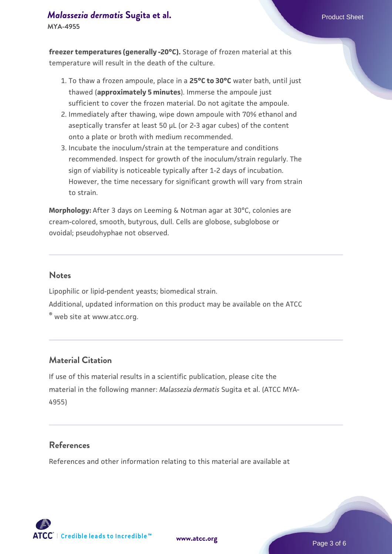# *[Malassezia dermatis](https://www.atcc.org/products/mya-4955)* [Sugita et al.](https://www.atcc.org/products/mya-4955) **Product Sheet** Product Sheet

**MYA-4955**

**freezer temperatures (generally -20°C).** Storage of frozen material at this temperature will result in the death of the culture.

- 1. To thaw a frozen ampoule, place in a **25°C to 30°C** water bath, until just thawed (**approximately 5 minutes**). Immerse the ampoule just sufficient to cover the frozen material. Do not agitate the ampoule.
- 2. Immediately after thawing, wipe down ampoule with 70% ethanol and aseptically transfer at least 50 µL (or 2-3 agar cubes) of the content onto a plate or broth with medium recommended.
- 3. Incubate the inoculum/strain at the temperature and conditions recommended. Inspect for growth of the inoculum/strain regularly. The sign of viability is noticeable typically after 1-2 days of incubation. However, the time necessary for significant growth will vary from strain to strain.

**Morphology:** After 3 days on Leeming & Notman agar at 30°C, colonies are cream-colored, smooth, butyrous, dull. Cells are globose, subglobose or ovoidal; pseudohyphae not observed.

## **Notes**

Lipophilic or lipid-pendent yeasts; biomedical strain.

Additional, updated information on this product may be available on the ATCC

® web site at www.atcc.org.

# **Material Citation**

If use of this material results in a scientific publication, please cite the material in the following manner: *Malassezia dermatis* Sugita et al. (ATCC MYA-4955)

## **References**

References and other information relating to this material are available at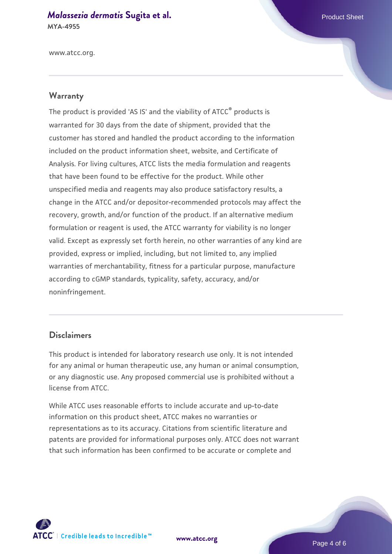# *[Malassezia dermatis](https://www.atcc.org/products/mya-4955)* [Sugita et al.](https://www.atcc.org/products/mya-4955) **Product Sheet** Product Sheet

**MYA-4955**

www.atcc.org.

#### **Warranty**

The product is provided 'AS IS' and the viability of ATCC® products is warranted for 30 days from the date of shipment, provided that the customer has stored and handled the product according to the information included on the product information sheet, website, and Certificate of Analysis. For living cultures, ATCC lists the media formulation and reagents that have been found to be effective for the product. While other unspecified media and reagents may also produce satisfactory results, a change in the ATCC and/or depositor-recommended protocols may affect the recovery, growth, and/or function of the product. If an alternative medium formulation or reagent is used, the ATCC warranty for viability is no longer valid. Except as expressly set forth herein, no other warranties of any kind are provided, express or implied, including, but not limited to, any implied warranties of merchantability, fitness for a particular purpose, manufacture according to cGMP standards, typicality, safety, accuracy, and/or noninfringement.

#### **Disclaimers**

This product is intended for laboratory research use only. It is not intended for any animal or human therapeutic use, any human or animal consumption, or any diagnostic use. Any proposed commercial use is prohibited without a license from ATCC.

While ATCC uses reasonable efforts to include accurate and up-to-date information on this product sheet, ATCC makes no warranties or representations as to its accuracy. Citations from scientific literature and patents are provided for informational purposes only. ATCC does not warrant that such information has been confirmed to be accurate or complete and



**[www.atcc.org](http://www.atcc.org)**

Page 4 of 6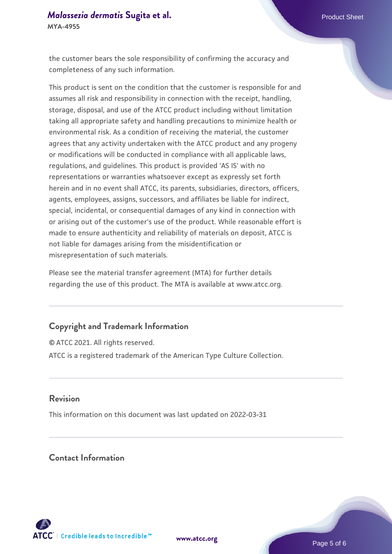#### *[Malassezia dermatis](https://www.atcc.org/products/mya-4955)* [Sugita et al.](https://www.atcc.org/products/mya-4955) **Product Sheet** Product Sheet **MYA-4955**

the customer bears the sole responsibility of confirming the accuracy and completeness of any such information.

This product is sent on the condition that the customer is responsible for and assumes all risk and responsibility in connection with the receipt, handling, storage, disposal, and use of the ATCC product including without limitation taking all appropriate safety and handling precautions to minimize health or environmental risk. As a condition of receiving the material, the customer agrees that any activity undertaken with the ATCC product and any progeny or modifications will be conducted in compliance with all applicable laws, regulations, and guidelines. This product is provided 'AS IS' with no representations or warranties whatsoever except as expressly set forth herein and in no event shall ATCC, its parents, subsidiaries, directors, officers, agents, employees, assigns, successors, and affiliates be liable for indirect, special, incidental, or consequential damages of any kind in connection with or arising out of the customer's use of the product. While reasonable effort is made to ensure authenticity and reliability of materials on deposit, ATCC is not liable for damages arising from the misidentification or misrepresentation of such materials.

Please see the material transfer agreement (MTA) for further details regarding the use of this product. The MTA is available at www.atcc.org.

# **Copyright and Trademark Information**

© ATCC 2021. All rights reserved. ATCC is a registered trademark of the American Type Culture Collection.

#### **Revision**

This information on this document was last updated on 2022-03-31

# **Contact Information**